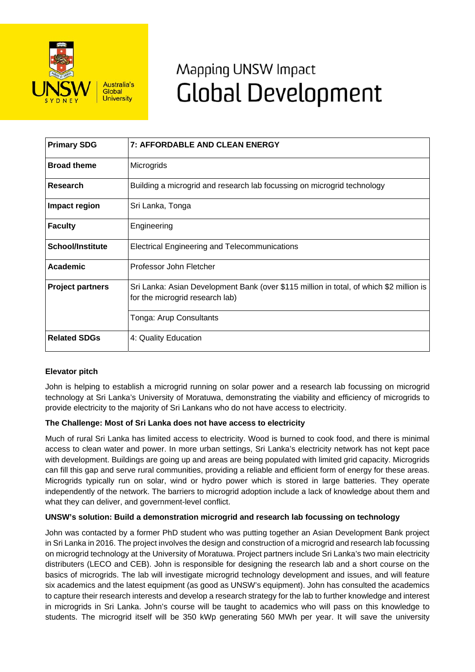

# Mapping UNSW Impact **Global Development**

| <b>Primary SDG</b>      | <b>7: AFFORDABLE AND CLEAN ENERGY</b>                                                                                      |
|-------------------------|----------------------------------------------------------------------------------------------------------------------------|
| <b>Broad theme</b>      | Microgrids                                                                                                                 |
| Research                | Building a microgrid and research lab focussing on microgrid technology                                                    |
| Impact region           | Sri Lanka, Tonga                                                                                                           |
| <b>Faculty</b>          | Engineering                                                                                                                |
| <b>School/Institute</b> | Electrical Engineering and Telecommunications                                                                              |
| Academic                | Professor John Fletcher                                                                                                    |
| <b>Project partners</b> | Sri Lanka: Asian Development Bank (over \$115 million in total, of which \$2 million is<br>for the microgrid research lab) |
|                         | Tonga: Arup Consultants                                                                                                    |
| <b>Related SDGs</b>     | 4: Quality Education                                                                                                       |

## **Elevator pitch**

John is helping to establish a microgrid running on solar power and a research lab focussing on microgrid technology at Sri Lanka's University of Moratuwa, demonstrating the viability and efficiency of microgrids to provide electricity to the majority of Sri Lankans who do not have access to electricity.

## **The Challenge: Most of Sri Lanka does not have access to electricity**

Much of rural Sri Lanka has limited access to electricity. Wood is burned to cook food, and there is minimal access to clean water and power. In more urban settings, Sri Lanka's electricity network has not kept pace with development. Buildings are going up and areas are being populated with limited grid capacity. Microgrids can fill this gap and serve rural communities, providing a reliable and efficient form of energy for these areas. Microgrids typically run on solar, wind or hydro power which is stored in large batteries. They operate independently of the network. The barriers to microgrid adoption include a lack of knowledge about them and what they can deliver, and government-level conflict.

## **UNSW's solution: Build a demonstration microgrid and research lab focussing on technology**

John was contacted by a former PhD student who was putting together an Asian Development Bank project in Sri Lanka in 2016. The project involves the design and construction of a microgrid and research lab focussing on microgrid technology at the University of Moratuwa. Project partners include Sri Lanka's two main electricity distributers (LECO and CEB). John is responsible for designing the research lab and a short course on the basics of microgrids. The lab will investigate microgrid technology development and issues, and will feature six academics and the latest equipment (as good as UNSW's equipment). John has consulted the academics to capture their research interests and develop a research strategy for the lab to further knowledge and interest in microgrids in Sri Lanka. John's course will be taught to academics who will pass on this knowledge to students. The microgrid itself will be 350 kWp generating 560 MWh per year. It will save the university